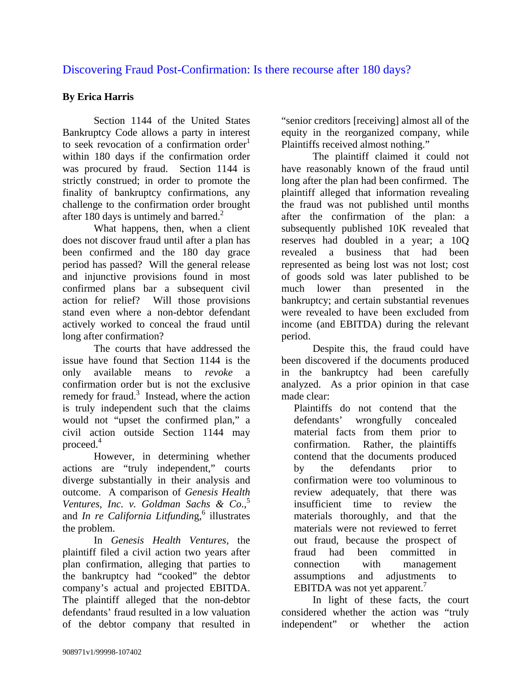## Discovering Fraud Post-Confirmation: Is there recourse after 180 days?

## **By Erica Harris**

 Section 1144 of the United States Bankruptcy Code allows a party in interest to seek revocation of a confirmation order<sup>1</sup> within 180 days if the confirmation order was procured by fraud. Section 1144 is strictly construed; in order to promote the finality of bankruptcy confirmations, any challenge to the confirmation order brought after 180 days is untimely and barred. $2$ 

 What happens, then, when a client does not discover fraud until after a plan has been confirmed and the 180 day grace period has passed? Will the general release and injunctive provisions found in most confirmed plans bar a subsequent civil action for relief? Will those provisions stand even where a non-debtor defendant actively worked to conceal the fraud until long after confirmation?

The courts that have addressed the issue have found that Section 1144 is the only available means to *revoke* a confirmation order but is not the exclusive remedy for fraud.<sup>3</sup> Instead, where the action is truly independent such that the claims would not "upset the confirmed plan," a civil action outside Section 1144 may proceed.4

However, in determining whether actions are "truly independent," courts diverge substantially in their analysis and outcome. A comparison of *Genesis Health Ventures, Inc. v. Goldman Sachs & Co.*<sup>5</sup> and *In re California Litfunding*,<sup>6</sup> illustrates the problem.

 In *Genesis Health Ventures,* the plaintiff filed a civil action two years after plan confirmation, alleging that parties to the bankruptcy had "cooked" the debtor company's actual and projected EBITDA. The plaintiff alleged that the non-debtor defendants' fraud resulted in a low valuation of the debtor company that resulted in

"senior creditors [receiving] almost all of the equity in the reorganized company, while Plaintiffs received almost nothing."

The plaintiff claimed it could not have reasonably known of the fraud until long after the plan had been confirmed. The plaintiff alleged that information revealing the fraud was not published until months after the confirmation of the plan: a subsequently published 10K revealed that reserves had doubled in a year; a 10Q revealed a business that had been represented as being lost was not lost; cost of goods sold was later published to be much lower than presented in the bankruptcy; and certain substantial revenues were revealed to have been excluded from income (and EBITDA) during the relevant period.

Despite this, the fraud could have been discovered if the documents produced in the bankruptcy had been carefully analyzed. As a prior opinion in that case made clear:

Plaintiffs do not contend that the defendants' wrongfully concealed material facts from them prior to confirmation. Rather, the plaintiffs contend that the documents produced by the defendants prior to confirmation were too voluminous to review adequately, that there was insufficient time to review the materials thoroughly, and that the materials were not reviewed to ferret out fraud, because the prospect of fraud had been committed in connection with management assumptions and adjustments to EBITDA was not yet apparent.<sup>7</sup>

In light of these facts, the court considered whether the action was "truly independent" or whether the action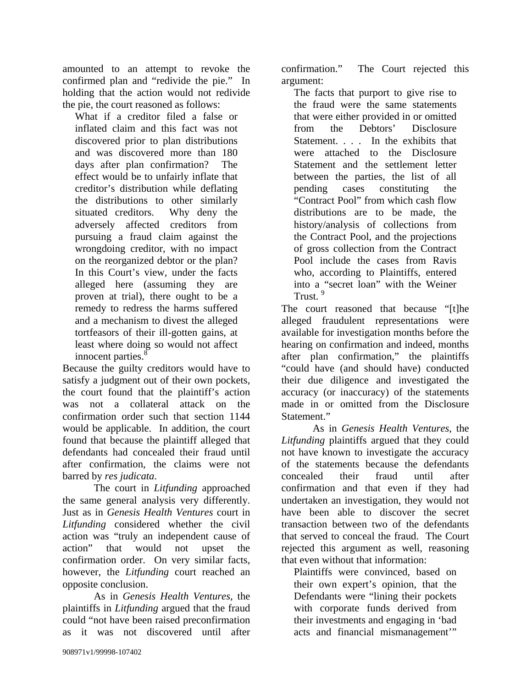amounted to an attempt to revoke the confirmed plan and "redivide the pie." In holding that the action would not redivide the pie, the court reasoned as follows:

What if a creditor filed a false or inflated claim and this fact was not discovered prior to plan distributions and was discovered more than 180 days after plan confirmation? The effect would be to unfairly inflate that creditor's distribution while deflating the distributions to other similarly situated creditors. Why deny the adversely affected creditors from pursuing a fraud claim against the wrongdoing creditor, with no impact on the reorganized debtor or the plan? In this Court's view, under the facts alleged here (assuming they are proven at trial), there ought to be a remedy to redress the harms suffered and a mechanism to divest the alleged tortfeasors of their ill-gotten gains, at least where doing so would not affect innocent parties.<sup>8</sup>

Because the guilty creditors would have to satisfy a judgment out of their own pockets, the court found that the plaintiff's action was not a collateral attack on the confirmation order such that section 1144 would be applicable. In addition, the court found that because the plaintiff alleged that defendants had concealed their fraud until after confirmation, the claims were not barred by *res judicata*.

 The court in *Litfunding* approached the same general analysis very differently. Just as in *Genesis Health Ventures* court in *Litfunding* considered whether the civil action was "truly an independent cause of action" that would not upset the confirmation order. On very similar facts, however, the *Litfunding* court reached an opposite conclusion.

As in *Genesis Health Ventures*, the plaintiffs in *Litfunding* argued that the fraud could "not have been raised preconfirmation as it was not discovered until after

confirmation." The Court rejected this argument:

The facts that purport to give rise to the fraud were the same statements that were either provided in or omitted from the Debtors' Disclosure Statement. . . . In the exhibits that were attached to the Disclosure Statement and the settlement letter between the parties, the list of all pending cases constituting the "Contract Pool" from which cash flow distributions are to be made, the history/analysis of collections from the Contract Pool, and the projections of gross collection from the Contract Pool include the cases from Ravis who, according to Plaintiffs, entered into a "secret loan" with the Weiner Trust. 9

The court reasoned that because "[t]he alleged fraudulent representations were available for investigation months before the hearing on confirmation and indeed, months after plan confirmation," the plaintiffs "could have (and should have) conducted their due diligence and investigated the accuracy (or inaccuracy) of the statements made in or omitted from the Disclosure Statement."

As in *Genesis Health Ventures*, the *Litfunding* plaintiffs argued that they could not have known to investigate the accuracy of the statements because the defendants concealed their fraud until after confirmation and that even if they had undertaken an investigation, they would not have been able to discover the secret transaction between two of the defendants that served to conceal the fraud. The Court rejected this argument as well, reasoning that even without that information:

Plaintiffs were convinced, based on their own expert's opinion, that the Defendants were "lining their pockets with corporate funds derived from their investments and engaging in 'bad acts and financial mismanagement'"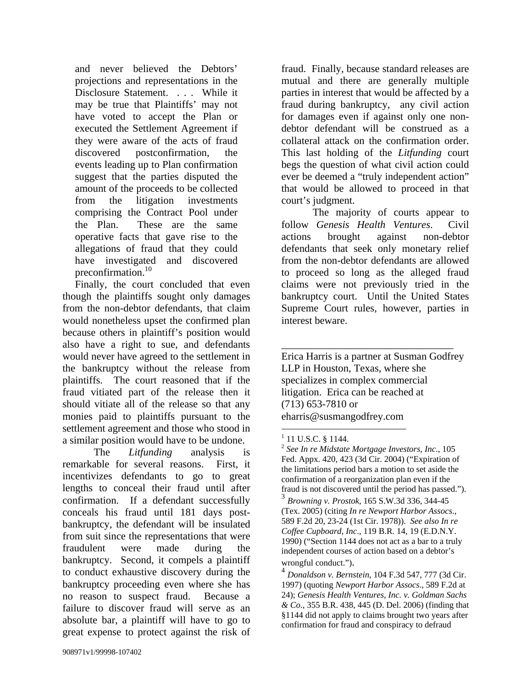and never believed the Debtors' projections and representations in the Disclosure Statement. . . . While it may be true that Plaintiffs' may not have voted to accept the Plan or executed the Settlement Agreement if they were aware of the acts of fraud discovered postconfirmation, the events leading up to Plan confirmation suggest that the parties disputed the amount of the proceeds to be collected from the litigation investments comprising the Contract Pool under the Plan. These are the same operative facts that gave rise to the allegations of fraud that they could have investigated and discovered preconfirmation.<sup>10</sup>

Finally, the court concluded that even though the plaintiffs sought only damages from the non-debtor defendants, that claim would nonetheless upset the confirmed plan because others in plaintiff's position would also have a right to sue, and defendants would never have agreed to the settlement in the bankruptcy without the release from plaintiffs. The court reasoned that if the fraud vitiated part of the release then it should vitiate all of the release so that any monies paid to plaintiffs pursuant to the settlement agreement and those who stood in a similar position would have to be undone.

The *Litfunding* analysis is remarkable for several reasons. First, it incentivizes defendants to go to great lengths to conceal their fraud until after confirmation. If a defendant successfully conceals his fraud until 181 days postbankruptcy, the defendant will be insulated from suit since the representations that were fraudulent were made during the bankruptcy. Second, it compels a plaintiff to conduct exhaustive discovery during the bankruptcy proceeding even where she has no reason to suspect fraud. Because a failure to discover fraud will serve as an absolute bar, a plaintiff will have to go to great expense to protect against the risk of

fraud. Finally, because standard releases are mutual and there are generally multiple parties in interest that would be affected by a fraud during bankruptcy, any civil action for damages even if against only one nondebtor defendant will be construed as a collateral attack on the confirmation order. This last holding of the *Litfunding* court begs the question of what civil action could ever be deemed a "truly independent action" that would be allowed to proceed in that court's judgment.

 The majority of courts appear to follow *Genesis Health Ventures*. Civil actions brought against non-debtor defendants that seek only monetary relief from the non-debtor defendants are allowed to proceed so long as the alleged fraud claims were not previously tried in the bankruptcy court. Until the United States Supreme Court rules, however, parties in interest beware.

\_\_\_\_\_\_\_\_\_\_\_\_\_\_\_\_\_\_\_\_\_\_\_\_\_\_\_\_\_\_\_\_\_ Erica Harris is a partner at Susman Godfrey LLP in Houston, Texas, where she specializes in complex commercial litigation. Erica can be reached at (713) 653-7810 or eharris@susmangodfrey.com

1

 $1$  11 U.S.C. § 1144.

<sup>2</sup> *See In re Midstate Mortgage Investors, Inc*., 105 Fed. Appx. 420, 423 (3d Cir. 2004) ("Expiration of the limitations period bars a motion to set aside the confirmation of a reorganization plan even if the fraud is not discovered until the period has passed."). <sup>3</sup> *Browning v. Prostok*, 165 S.W.3d 336, 344-45 (Tex. 2005) (citing *In re Newport Harbor Assocs*., 589 F.2d 20, 23-24 (1st Cir. 1978)). *See also In re Coffee Cupboard, Inc*., 119 B.R. 14, 19 (E.D.N.Y. 1990) ("Section 1144 does not act as a bar to a truly independent courses of action based on a debtor's wrongful conduct."). 4 *Donaldson v. Bernstein*, 104 F.3d 547, 777 (3d Cir.

<sup>1997) (</sup>quoting *Newport Harbor Assocs*., 589 F.2d at 24); *Genesis Health Ventures, Inc. v. Goldman Sachs & Co*., 355 B.R. 438, 445 (D. Del. 2006) (finding that §1144 did not apply to claims brought two years after confirmation for fraud and conspiracy to defraud